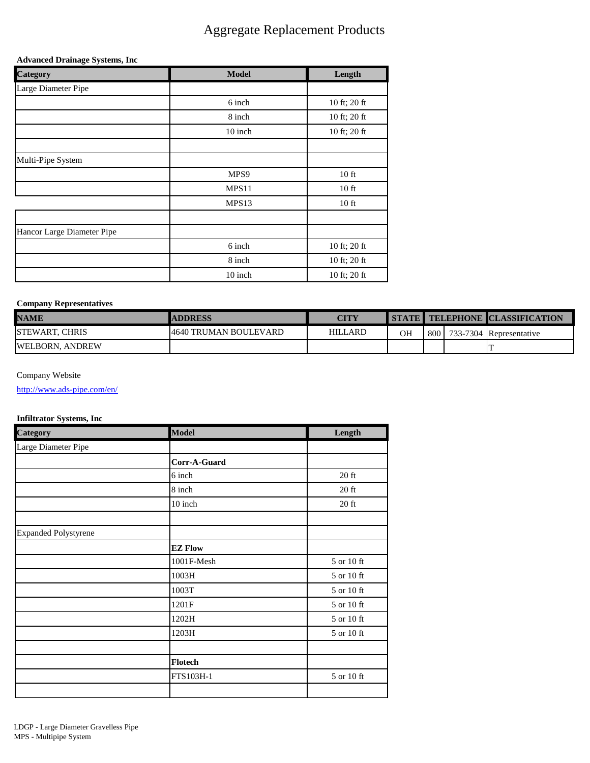### Aggregate Replacement Products

#### **Advanced Drainage Systems, Inc**

| Category                   | <b>Model</b> | Length       |
|----------------------------|--------------|--------------|
| Large Diameter Pipe        |              |              |
|                            | 6 inch       | 10 ft; 20 ft |
|                            | 8 inch       | 10 ft; 20 ft |
|                            | 10 inch      | 10 ft; 20 ft |
|                            |              |              |
| Multi-Pipe System          |              |              |
|                            | MPS9         | $10$ ft      |
|                            | MPS11        | $10$ ft      |
|                            | MPS13        | $10$ ft      |
|                            |              |              |
| Hancor Large Diameter Pipe |              |              |
|                            | 6 inch       | 10 ft; 20 ft |
|                            | 8 inch       | 10 ft; 20 ft |
|                            | 10 inch      | 10 ft; 20 ft |

#### **Company Representatives**

| <b>NAME</b>           | <b>ADDRESS</b>         | <b>CITY</b>    |    |  | <b>I STATE I TELEPHONE CLASSIFICATION</b> |
|-----------------------|------------------------|----------------|----|--|-------------------------------------------|
| <b>STEWART, CHRIS</b> | 14640 TRUMAN BOULEVARD | <b>HILLARD</b> | OН |  | 800   733-7304 Representative             |
| WELBORN, ANDREW       |                        |                |    |  |                                           |

### Company Website

<http://www.ads-pipe.com/en/>

### **Infiltrator Systems, Inc**

| <b>Category</b>             | <b>Model</b>   | Length                  |
|-----------------------------|----------------|-------------------------|
| Large Diameter Pipe         |                |                         |
|                             | Corr-A-Guard   |                         |
|                             | 6 inch         | $20$ ft                 |
|                             | 8 inch         | $20\ \mathrm{ft}$       |
|                             | 10 inch        | $20$ ft                 |
|                             |                |                         |
| <b>Expanded Polystyrene</b> |                |                         |
|                             | <b>EZ Flow</b> |                         |
|                             | 1001F-Mesh     | 5 or 10 ft              |
|                             | 1003H          | 5 or 10 ft              |
|                             | 1003T          | $5$ or $10~\mathrm{ft}$ |
|                             | 1201F          | 5 or 10 ft              |
|                             | 1202H          | $5$ or $10~\mathrm{ft}$ |
|                             | 1203H          | 5 or 10 ft              |
|                             |                |                         |
|                             | <b>Flotech</b> |                         |
|                             | FTS103H-1      | 5 or 10 ft              |
|                             |                |                         |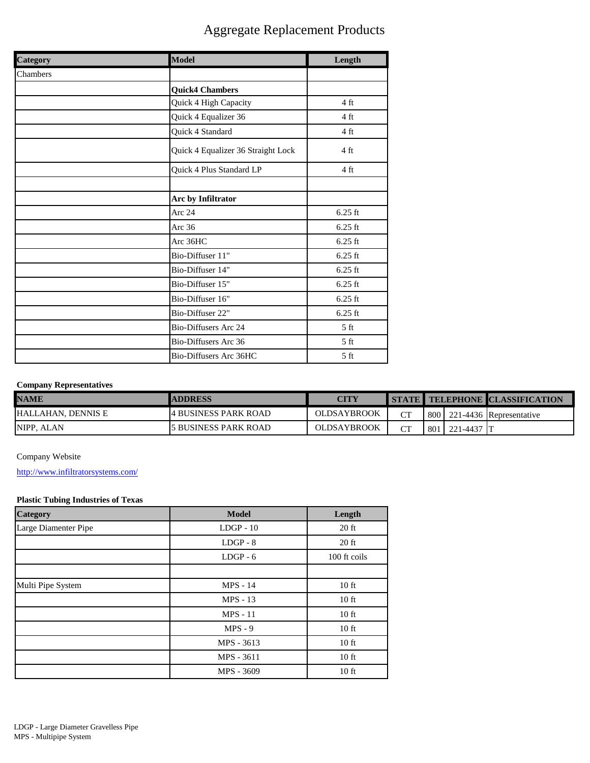## Aggregate Replacement Products

| <b>Category</b> | Model                              | Length          |  |
|-----------------|------------------------------------|-----------------|--|
| Chambers        |                                    |                 |  |
|                 | <b>Quick4 Chambers</b>             |                 |  |
|                 | Quick 4 High Capacity              | 4 ft            |  |
|                 | Quick 4 Equalizer 36               | 4 ft            |  |
|                 | Quick 4 Standard                   | 4 ft            |  |
|                 | Quick 4 Equalizer 36 Straight Lock | 4 ft            |  |
|                 | Quick 4 Plus Standard LP           | 4 ft            |  |
|                 |                                    |                 |  |
|                 | Arc by Infiltrator                 |                 |  |
|                 | Arc 24                             | $6.25$ ft       |  |
|                 | Arc 36                             | $6.25$ ft       |  |
|                 | Arc 36HC                           | $6.25$ ft       |  |
|                 | Bio-Diffuser 11"                   | $6.25$ ft       |  |
|                 | Bio-Diffuser 14"                   | $6.25$ ft       |  |
|                 | Bio-Diffuser 15"                   | $6.25$ ft       |  |
|                 | Bio-Diffuser 16"                   | $6.25$ ft       |  |
|                 | Bio-Diffuser 22"                   | $6.25$ ft       |  |
|                 | <b>Bio-Diffusers Arc 24</b>        | 5 <sub>ft</sub> |  |
|                 | Bio-Diffusers Arc 36               | 5 <sub>ft</sub> |  |
|                 | Bio-Diffusers Arc 36HC             | 5 <sub>ft</sub> |  |

### **Company Representatives**

| <b>NAME</b>         | <b>ADDRESS</b>        | <b>CITY</b>        |           |       |               | STATE TELEPHONE CLASSIFICATION  |
|---------------------|-----------------------|--------------------|-----------|-------|---------------|---------------------------------|
| IHALLAHAN. DENNIS E | 14 BUSINESS PARK ROAD | <b>OLDSAYBROOK</b> | <b>CT</b> |       |               | 800   221-4436   Representative |
| NIPP. ALAN          | 5 BUSINESS PARK ROAD  | <b>OLDSAYBROOK</b> | СT        | 801 l | $1221 - 4437$ |                                 |

Company Website

<http://www.infiltratorsystems.com/>

### **Plastic Tubing Industries of Texas**

| <b>Category</b>      | <b>Model</b>    | Length           |
|----------------------|-----------------|------------------|
| Large Diamenter Pipe | $LDGP - 10$     | $20$ ft          |
|                      | $LDGP - 8$      | $20$ ft          |
|                      | $LDGP - 6$      | 100 ft coils     |
|                      |                 |                  |
| Multi Pipe System    | <b>MPS</b> - 14 | $10$ ft          |
|                      | <b>MPS</b> - 13 | $10$ ft          |
|                      | $MPS - 11$      | $10$ ft          |
|                      | $MPS - 9$       | 10 <sub>ft</sub> |
|                      | MPS - 3613      | $10$ ft          |
|                      | MPS - 3611      | $10$ ft          |
|                      | MPS - 3609      | $10$ ft          |